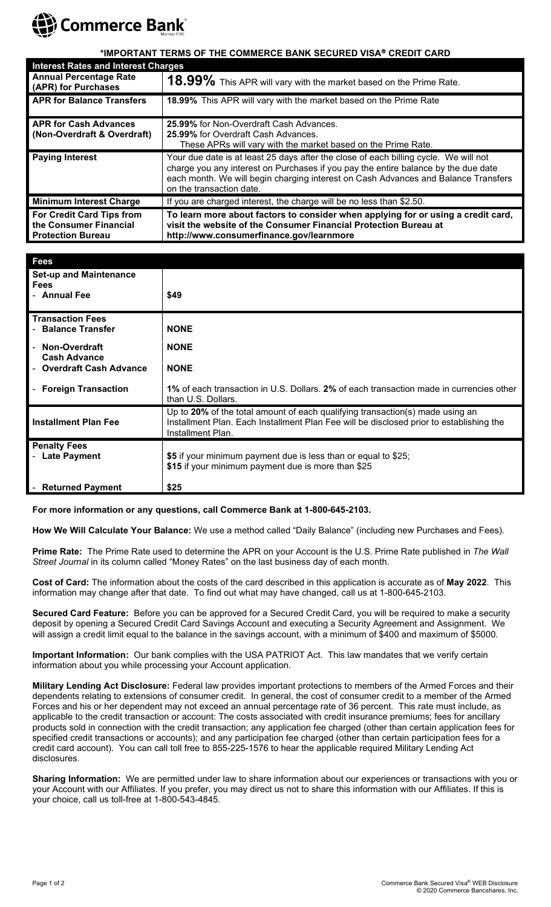

## **\*IMPORTANT TERMS OF THE COMMERCE BANK SECURED VISA CREDIT CARD**

| <b>Interest Rates and Interest Charges</b>                                             |                                                                                                                                                                                                                                                                                              |
|----------------------------------------------------------------------------------------|----------------------------------------------------------------------------------------------------------------------------------------------------------------------------------------------------------------------------------------------------------------------------------------------|
| <b>Annual Percentage Rate</b><br>(APR) for Purchases                                   | 18.99% This APR will vary with the market based on the Prime Rate.                                                                                                                                                                                                                           |
| <b>APR for Balance Transfers</b>                                                       | 18.99% This APR will vary with the market based on the Prime Rate                                                                                                                                                                                                                            |
| <b>APR for Cash Advances</b>                                                           | 25.99% for Non-Overdraft Cash Advances.                                                                                                                                                                                                                                                      |
| (Non-Overdraft & Overdraft)                                                            | 25.99% for Overdraft Cash Advances.                                                                                                                                                                                                                                                          |
|                                                                                        | These APRs will vary with the market based on the Prime Rate.                                                                                                                                                                                                                                |
| <b>Paying Interest</b>                                                                 | Your due date is at least 25 days after the close of each billing cycle. We will not<br>charge you any interest on Purchases if you pay the entire balance by the due date<br>each month. We will begin charging interest on Cash Advances and Balance Transfers<br>on the transaction date. |
| <b>Minimum Interest Charge</b>                                                         | If you are charged interest, the charge will be no less than \$2.50.                                                                                                                                                                                                                         |
| <b>For Credit Card Tips from</b><br>the Consumer Financial<br><b>Protection Bureau</b> | To learn more about factors to consider when applying for or using a credit card,<br>visit the website of the Consumer Financial Protection Bureau at<br>http://www.consumerfinance.gov/learnmore                                                                                            |

| <b>Fees</b>                                                  |                                                                                                                                                                                               |
|--------------------------------------------------------------|-----------------------------------------------------------------------------------------------------------------------------------------------------------------------------------------------|
| <b>Set-up and Maintenance</b><br><b>Fees</b><br>- Annual Fee | \$49                                                                                                                                                                                          |
| <b>Transaction Fees</b><br><b>Balance Transfer</b>           | <b>NONE</b>                                                                                                                                                                                   |
| Non-Overdraft<br><b>Cash Advance</b>                         | <b>NONE</b>                                                                                                                                                                                   |
| <b>Overdraft Cash Advance</b>                                | <b>NONE</b>                                                                                                                                                                                   |
| <b>Foreign Transaction</b>                                   | 1% of each transaction in U.S. Dollars, 2% of each transaction made in currencies other<br>than U.S. Dollars.                                                                                 |
| <b>Installment Plan Fee</b>                                  | Up to 20% of the total amount of each qualifying transaction(s) made using an<br>Installment Plan. Each Installment Plan Fee will be disclosed prior to establishing the<br>Installment Plan. |
| <b>Penalty Fees</b><br><b>Late Payment</b>                   | \$5 if your minimum payment due is less than or equal to \$25;<br>\$15 if your minimum payment due is more than \$25                                                                          |
| <b>Returned Payment</b>                                      | \$25                                                                                                                                                                                          |

**For more information or any questions, call Commerce Bank at 1-800-645-2103.**

**How We Will Calculate Your Balance:** We use a method called "Daily Balance" (including new Purchases and Fees).

**Prime Rate:** The Prime Rate used to determine the APR on your Account is the U.S. Prime Rate published in *The Wall Street Journal* in its column called "Money Rates" on the last business day of each month.

**Cost of Card:** The information about the costs of the card described in this application is accurate as of **May 2022**. This information may change after that date. To find out what may have changed, call us at 1-800-645-2103.

**Secured Card Feature:** Before you can be approved for a Secured Credit Card, you will be required to make a security deposit by opening a Secured Credit Card Savings Account and executing a Security Agreement and Assignment. We will assign a credit limit equal to the balance in the savings account, with a minimum of \$400 and maximum of \$5000.

**Important Information:** Our bank complies with the USA PATRIOT Act. This law mandates that we verify certain information about you while processing your Account application.

**Military Lending Act Disclosure:** Federal law provides important protections to members of the Armed Forces and their dependents relating to extensions of consumer credit. In general, the cost of consumer credit to a member of the Armed Forces and his or her dependent may not exceed an annual percentage rate of 36 percent. This rate must include, as applicable to the credit transaction or account: The costs associated with credit insurance premiums; fees for ancillary products sold in connection with the credit transaction; any application fee charged (other than certain application fees for specified credit transactions or accounts); and any participation fee charged (other than certain participation fees for a credit card account). You can call toll free to 855-225-1576 to hear the applicable required Military Lending Act disclosures.

**Sharing Information:** We are permitted under law to share information about our experiences or transactions with you or your Account with our Affiliates. If you prefer, you may direct us not to share this information with our Affiliates. If this is your choice, call us toll-free at 1-800-543-4845.